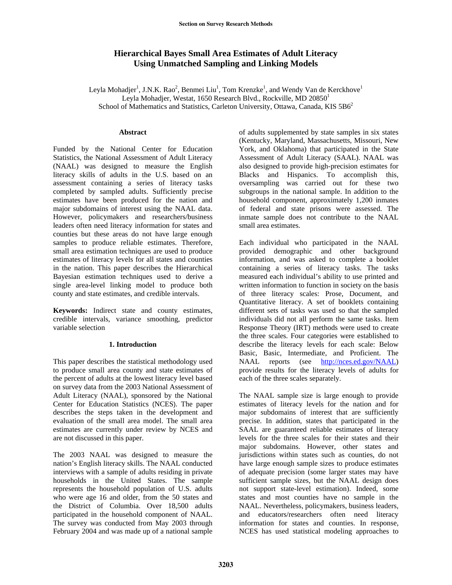# **Hierarchical Bayes Small Area Estimates of Adult Literacy Using Unmatched Sampling and Linking Models**

Leyla Mohadjer<sup>1</sup>, J.N.K. Rao<sup>2</sup>, Benmei Liu<sup>1</sup>, Tom Krenzke<sup>1</sup>, and Wendy Van de Kerckhove<sup>1</sup> Leyla Mohadjer, Westat, 1650 Research Blvd., Rockville, MD 20850<sup>1</sup> School of Mathematics and Statistics, Carleton University, Ottawa, Canada, KIS 5B6<sup>2</sup>

## **Abstract**

Funded by the [National Center for Education](http://nces.ed.gov/)  [Statistics](http://nces.ed.gov/), the National Assessment of Adult Literacy (NAAL) was designed to measure the English literacy skills of adults in the U.S. based on an assessment containing a series of literacy tasks completed by sampled adults. Sufficiently precise estimates have been produced for the nation and major subdomains of interest using the NAAL data. However, policymakers and researchers/business leaders often need literacy information for states and counties but these areas do not have large enough samples to produce reliable estimates. Therefore, small area estimation techniques are used to produce estimates of literacy levels for all states and counties in the nation. This paper describes the Hierarchical Bayesian estimation techniques used to derive a single area-level linking model to produce both county and state estimates, and credible intervals.

**Keywords:** Indirect state and county estimates, credible intervals, variance smoothing, predictor variable selection

# **1. Introduction**

This paper describes the statistical methodology used to produce small area county and state estimates of the percent of adults at the lowest literacy level based on survey data from the 2003 National Assessment of Adult Literacy (NAAL), sponsored by the National Center for Education Statistics (NCES). The paper describes the steps taken in the development and evaluation of the small area model. The small area estimates are currently under review by NCES and are not discussed in this paper.

The 2003 NAAL was designed to measure the nation's English literacy skills. The NAAL conducted interviews with a sample of adults residing in private households in the United States. The sample represents the household population of U.S. adults who were age 16 and older, from the 50 states and the District of Columbia. Over 18,500 adults participated in the household component of NAAL. The survey was conducted from May 2003 through February 2004 and was made up of a national sample

of adults supplemented by state samples in six states (Kentucky, Maryland, Massachusetts, Missouri, New York, and Oklahoma) that participated in the State Assessment of Adult Literacy (SAAL). NAAL was also designed to provide high-precision estimates for Blacks and Hispanics. To accomplish this, oversampling was carried out for these two subgroups in the national sample. In addition to the household component, approximately 1,200 inmates of federal and state prisons were assessed. The inmate sample does not contribute to the NAAL small area estimates.

Each individual who participated in the NAAL provided demographic and other background information, and was asked to complete a booklet containing a series of literacy tasks. The tasks measured each individual's ability to use printed and written information to function in society on the basis of three literacy scales: Prose, Document, and Quantitative literacy. A set of booklets containing different sets of tasks was used so that the sampled individuals did not all perform the same tasks. Item Response Theory (IRT) methods were used to create the three scales. Four categories were established to describe the literacy levels for each scale: Below Basic, Basic, Intermediate, and Proficient. The NAAL reports (see [http://nces.ed.gov/NAAL\)](http://nces.ed.gov/NAAL) provide results for the literacy levels of adults for each of the three scales separately.

The NAAL sample size is large enough to provide estimates of literacy levels for the nation and for major subdomains of interest that are sufficiently precise. In addition, states that participated in the SAAL are guaranteed reliable estimates of literacy levels for the three scales for their states and their major subdomains. However, other states and jurisdictions within states such as counties, do not have large enough sample sizes to produce estimates of adequate precision (some larger states may have sufficient sample sizes, but the NAAL design does not support state-level estimation). Indeed, some states and most counties have no sample in the NAAL. Nevertheless, policymakers, business leaders, and educators/researchers often need literacy information for states and counties. In response, NCES has used statistical modeling approaches to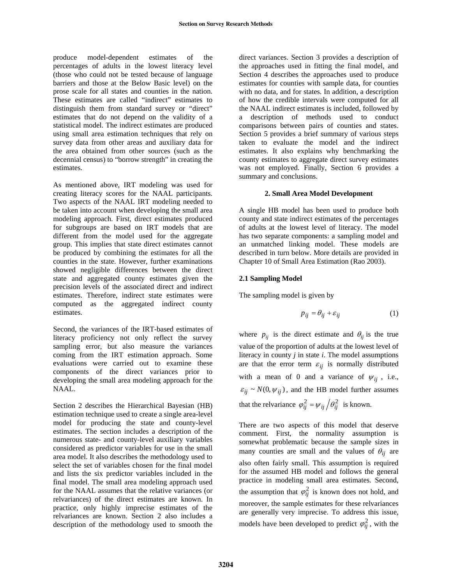produce model-dependent estimates of the percentages of adults in the lowest literacy level (those who could not be tested because of language barriers and those at the Below Basic level) on the prose scale for all states and counties in the nation. These estimates are called "indirect" estimates to distinguish them from standard survey or "direct" estimates that do not depend on the validity of a statistical model. The indirect estimates are produced using small area estimation techniques that rely on survey data from other areas and auxiliary data for the area obtained from other sources (such as the decennial census) to "borrow strength" in creating the estimates.

As mentioned above, IRT modeling was used for creating literacy scores for the NAAL participants. Two aspects of the NAAL IRT modeling needed to be taken into account when developing the small area modeling approach. First, direct estimates produced for subgroups are based on IRT models that are different from the model used for the aggregate group. This implies that state direct estimates cannot be produced by combining the estimates for all the counties in the state. However, further examinations showed negligible differences between the direct state and aggregated county estimates given the precision levels of the associated direct and indirect estimates. Therefore, indirect state estimates were computed as the aggregated indirect county estimates.

Second, the variances of the IRT-based estimates of literacy proficiency not only reflect the survey sampling error, but also measure the variances coming from the IRT estimation approach. Some evaluations were carried out to examine these components of the direct variances prior to developing the small area modeling approach for the NAAL.

Section 2 describes the Hierarchical Bayesian (HB) estimation technique used to create a single area-level model for producing the state and county-level estimates. The section includes a description of the numerous state- and county-level auxiliary variables considered as predictor variables for use in the small area model. It also describes the methodology used to select the set of variables chosen for the final model and lists the six predictor variables included in the final model. The small area modeling approach used for the NAAL assumes that the relative variances (or relvariances) of the direct estimates are known. In practice, only highly imprecise estimates of the relvariances are known. Section 2 also includes a description of the methodology used to smooth the

direct variances. Section 3 provides a description of the approaches used in fitting the final model, and Section 4 describes the approaches used to produce estimates for counties with sample data, for counties with no data, and for states. In addition, a description of how the credible intervals were computed for all the NAAL indirect estimates is included, followed by a description of methods used to conduct comparisons between pairs of counties and states. Section 5 provides a brief summary of various steps taken to evaluate the model and the indirect estimates. It also explains why benchmarking the county estimates to aggregate direct survey estimates was not employed. Finally, Section 6 provides a summary and conclusions.

# **2. Small Area Model Development**

A single HB model has been used to produce both county and state indirect estimates of the percentages of adults at the lowest level of literacy. The model has two separate components: a sampling model and an unmatched linking model. These models are described in turn below. More details are provided in Chapter 10 of Small Area Estimation (Rao 2003).

# **2.1 Sampling Model**

The sampling model is given by

$$
p_{ij} = \theta_{ij} + \varepsilon_{ij} \tag{1}
$$

where  $p_{ij}$  is the direct estimate and  $\theta_{ij}$  is the true value of the proportion of adults at the lowest level of literacy in county *j* in state *i*. The model assumptions are that the error term  $\varepsilon_{ij}$  is normally distributed with a mean of 0 and a variance of  $\psi_{ij}$ , i.e.,  $\varepsilon_{ij} \sim N(0, \psi_{ij})$ , and the HB model further assumes that the relvariance  $\varphi_{ij}^2 = \psi_{ij} / \theta_{ij}^2$  is known.

There are two aspects of this model that deserve comment. First, the normality assumption is somewhat problematic because the sample sizes in many counties are small and the values of  $\theta_{ij}$  are also often fairly small. This assumption is required for the assumed HB model and follows the general practice in modeling small area estimates. Second, the assumption that  $\varphi_{ij}^2$  is known does not hold, and moreover, the sample estimates for these relvariances are generally very imprecise. To address this issue, models have been developed to predict  $\varphi_{ij}^2$ , with the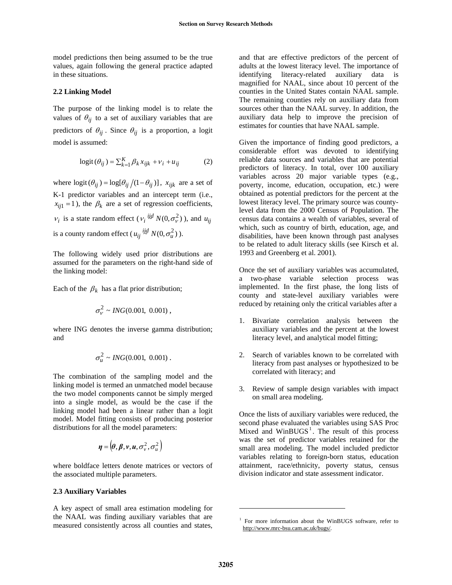model predictions then being assumed to be the true values, again following the general practice adapted in these situations.

# **2.2 Linking Model**

The purpose of the linking model is to relate the values of  $\theta_{ij}$  to a set of auxiliary variables that are predictors of  $\theta_{ij}$ . Since  $\theta_{ij}$  is a proportion, a logit model is assumed:

$$
logit(\theta_{ij}) = \sum_{k=1}^{K} \beta_k x_{ijk} + v_i + u_{ij}
$$
 (2)

where  $logit(\theta_{ij}) = log[\theta_{ij}/(1-\theta_{ij})]$ ,  $x_{ijk}$  are a set of K-1 predictor variables and an intercept term (i.e.,  $x_{ij1} = 1$ ), the  $\beta_k$  are a set of regression coefficients,  $v_i$  is a state random effect ( $v_i \stackrel{iid}{\sim} N(0, \sigma_v^2)$ ), and  $u_{ij}$ is a county random effect ( $u_{ij} \stackrel{iid}{\sim} N(0, \sigma_u^2)$ ).

The following widely used prior distributions are assumed for the parameters on the right-hand side of the linking model:

Each of the  $\beta_k$  has a flat prior distribution;

$$
\sigma_V^2 \sim \text{ING}(0.001, 0.001),
$$

where ING denotes the inverse gamma distribution; and

$$
\sigma_u^2 \sim \text{ING}(0.001, 0.001) \; .
$$

The combination of the sampling model and the linking model is termed an unmatched model because the two model components cannot be simply merged into a single model, as would be the case if the linking model had been a linear rather than a logit model. Model fitting consists of producing posterior distributions for all the model parameters:

$$
\boldsymbol{\eta} = (\boldsymbol{\theta}, \boldsymbol{\beta}, \boldsymbol{v}, \boldsymbol{u}, \sigma_v^2, \sigma_u^2)
$$

where boldface letters denote matrices or vectors of the associated multiple parameters.

#### **2.3 Auxiliary Variables**

<span id="page-2-0"></span>A key aspect of small area estimation modeling for the NAAL was finding auxiliary variables that are measured consistently across all counties and states,

and that are effective predictors of the percent of adults at the lowest literacy level. The importance of identifying literacy-related auxiliary data is magnified for NAAL, since about 10 percent of the counties in the United States contain NAAL sample. The remaining counties rely on auxiliary data from sources other than the NAAL survey. In addition, the auxiliary data help to improve the precision of estimates for counties that have NAAL sample.

Given the importance of finding good predictors, a considerable effort was devoted to identifying reliable data sources and variables that are potential predictors of literacy. In total, over 100 auxiliary variables across 20 major variable types (e.g., poverty, income, education, occupation, etc.) were obtained as potential predictors for the percent at the lowest literacy level. The primary source was countylevel data from the 2000 Census of Population. The census data contains a wealth of variables, several of which, such as country of birth, education, age, and disabilities, have been known through past analyses to be related to adult literacy skills (see Kirsch et al. 1993 and Greenberg et al. 2001).

Once the set of auxiliary variables was accumulated, a two-phase variable selection process was implemented. In the first phase, the long lists of county and state-level auxiliary variables were reduced by retaining only the critical variables after a

- 1. Bivariate correlation analysis between the auxiliary variables and the percent at the lowest literacy level, and analytical model fitting;
- 2. Search of variables known to be correlated with literacy from past analyses or hypothesized to be correlated with literacy; and
- 3. Review of sample design variables with impact on small area modeling.

Once the lists of auxiliary variables were reduced, the second phase evaluated the variables using SAS Proc Mixed and  $WinBUGS<sup>1</sup>$  $WinBUGS<sup>1</sup>$  $WinBUGS<sup>1</sup>$ . The result of this process was the set of predictor variables retained for the small area modeling. The model included predictor variables relating to foreign-born status, education attainment, race/ethnicity, poverty status, census division indicator and state assessment indicator.

 $\overline{a}$ 

<sup>&</sup>lt;sup>1</sup> For more information about the WinBUGS software, refer to http://www.mrc-bsu.cam.ac.uk/bugs/.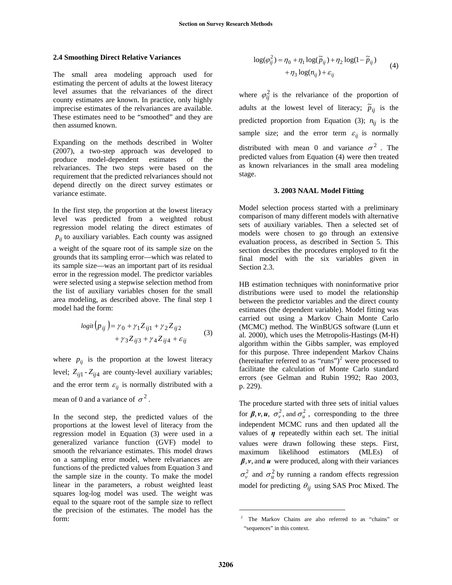## **2.4 Smoothing Direct Relative Variances**

The small area modeling approach used for estimating the percent of adults at the lowest literacy level assumes that the relvariances of the direct county estimates are known. In practice, only highly imprecise estimates of the relvariances are available. These estimates need to be "smoothed" and they are then assumed known.

Expanding on the methods described in Wolter (2007), a two-step approach was developed to produce model-dependent estimates of the relvariances. The two steps were based on the requirement that the predicted relvariances should not depend directly on the direct survey estimates or variance estimate.

In the first step, the proportion at the lowest literacy level was predicted from a weighted robust regression model relating the direct estimates of  $p_{ij}$  to auxiliary variables. Each county was assigned

a weight of the square root of its sample size on the grounds that its sampling error—which was related to its sample size—was an important part of its residual error in the regression model. The predictor variables were selected using a stepwise selection method from the list of auxiliary variables chosen for the small area modeling, as described above. The final step 1 model had the form:

$$
logit(p_{ij}) = \gamma_0 + \gamma_1 Z_{ij1} + \gamma_2 Z_{ij2}
$$
  
+  $\gamma_3 Z_{ij3} + \gamma_4 Z_{ij4} + \varepsilon_{ij}$  (3)

where  $p_{ij}$  is the proportion at the lowest literacy level;  $Z_{ij1}$  -  $Z_{ij4}$  are county-level auxiliary variables; and the error term  $\varepsilon_{ij}$  is normally distributed with a mean of 0 and a variance of  $\sigma^2$ .

<span id="page-3-0"></span>In the second step, the predicted values of the proportions at the lowest level of literacy from the regression model in Equation (3) were used in a generalized variance function (GVF) model to smooth the relvariance estimates. This model draws on a sampling error model, where relvariances are functions of the predicted values from Equation 3 and the sample size in the county. To make the model linear in the parameters, a robust weighted least squares log-log model was used. The weight was equal to the square root of the sample size to reflect the precision of the estimates. The model has the form:

$$
\log(\varphi_{ij}^2) = \eta_0 + \eta_1 \log(\widetilde{p}_{ij}) + \eta_2 \log(1 - \widetilde{p}_{ij})
$$
  
+ 
$$
\eta_3 \log(n_{ij}) + \varepsilon_{ij}
$$
 (4)

where  $\varphi_{ij}^2$  is the relvariance of the proportion of adults at the lowest level of literacy;  $\tilde{p}_{ij}$  is the predicted proportion from Equation (3);  $n_{ij}$  is the sample size; and the error term  $\varepsilon_{ij}$  is normally distributed with mean 0 and variance  $\sigma^2$ . The predicted values from Equation (4) were then treated as known relvariances in the small area modeling stage.

#### **3. 2003 NAAL Model Fitting**

Model selection process started with a preliminary comparison of many different models with alternative sets of auxiliary variables. Then a selected set of models were chosen to go through an extensive evaluation process, as described in Section 5. This section describes the procedures employed to fit the final model with the six variables given in Section 2.3.

HB estimation techniques with noninformative prior distributions were used to model the relationship between the predictor variables and the direct county estimates (the dependent variable). Model fitting was carried out using a Markov Chain Monte Carlo (MCMC) method. The WinBUGS software (Lunn et al. 2000), which uses the Metropolis-Hastings (M-H) algorithm within the Gibbs sampler, was employed for this purpose. Three independent Markov Chains (hereinafter referred to as "runs")<sup>[2](#page-3-0)</sup> were processed to facilitate the calculation of Monte Carlo standard errors (see Gelman and Rubin 1992; Rao 2003, p. 229).

The procedure started with three sets of initial values for  $\beta$ ,  $\nu$ ,  $u$ ,  $\sigma_v^2$ , and  $\sigma_u^2$ , corresponding to the three independent MCMC runs and then updated all the values of *η* repeatedly within each set. The initial values were drawn following these steps. First, maximum likelihood estimators (MLEs) of  $\beta$ ,  $\nu$ , and  $\nu$  were produced, along with their variances  $\sigma_{\nu}^2$  and  $\sigma_{\mu}^2$  by running a random effects regression model for predicting  $\theta_{ij}$  using SAS Proc Mixed. The

 $\overline{a}$ 

The Markov Chains are also referred to as "chains" or "sequences" in this context.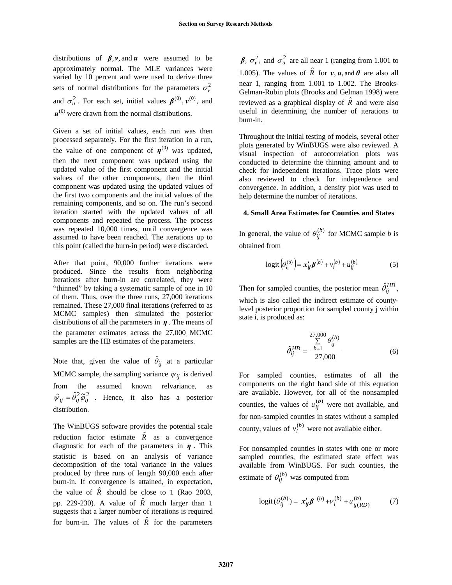distributions of  $\beta$ , *v*, and *u* were assumed to be approximately normal. The MLE variances were varied by 10 percent and were used to derive three sets of normal distributions for the parameters  $\sigma_{\nu}^2$ and  $\sigma_u^2$ . For each set, initial values  $\boldsymbol{\beta}^{(0)}$ ,  $v^{(0)}$ , and  $\mathbf{u}^{(0)}$  were drawn from the normal distributions.

Given a set of initial values, each run was then processed separately. For the first iteration in a run, the value of one component of  $\eta^{(0)}$  was updated, then the next component was updated using the updated value of the first component and the initial values of the other components, then the third component was updated using the updated values of the first two components and the initial values of the remaining components, and so on. The run's second iteration started with the updated values of all components and repeated the process. The process was repeated 10,000 times, until convergence was assumed to have been reached. The iterations up to this point (called the burn-in period) were discarded.

After that point, 90,000 further iterations were produced. Since the results from neighboring iterations after burn-in are correlated, they were "thinned" by taking a systematic sample of one in 10 of them. Thus, over the three runs, 27,000 iterations remained. These 27,000 final iterations (referred to as MCMC samples) then simulated the posterior distributions of all the parameters in  $\eta$ . The means of the parameter estimates across the 27,000 MCMC samples are the HB estimates of the parameters.

Note that, given the value of  $\hat{\theta}_{ij}$  at a particular MCMC sample, the sampling variance  $\psi_{ij}$  is derived from the assumed known relvariance, as  $\hat{\psi}_{ii} = \hat{\theta}_{ii}^2 \tilde{\varphi}_{ii}^2$  . Hence, it also has a posterior distribution.

The WinBUGS software provides the potential scale reduction factor estimate  $\hat{R}$  as a convergence diagnostic for each of the parameters in *η* . This statistic is based on an analysis of variance decomposition of the total variance in the values produced by three runs of length 90,000 each after burn-in. If convergence is attained, in expectation, the value of  $\hat{R}$  should be close to 1 (Rao 2003, pp. 229-230). A value of  $\hat{R}$  much larger than 1 suggests that a larger number of iterations is required for burn-in. The values of  $\hat{R}$  for the parameters

*β*,  $\sigma_v^2$ , and  $\sigma_u^2$  are all near 1 (ranging from 1.001 to 1.005). The values of  $\hat{R}$  for  $v, u$ , and  $\theta$  are also all near 1, ranging from 1.001 to 1.002. The Brooks-Gelman-Rubin plots (Brooks and Gelman 1998) were reviewed as a graphical display of  $\hat{R}$  and were also useful in determining the number of iterations to burn-in.

Throughout the initial testing of models, several other plots generated by WinBUGS were also reviewed. A visual inspection of autocorrelation plots was conducted to determine the thinning amount and to check for independent iterations. Trace plots were also reviewed to check for independence and convergence. In addition, a density plot was used to help determine the number of iterations.

# **4. Small Area Estimates for Counties and States**

In general, the value of  $\theta_{ij}^{(b)}$  for MCMC sample *b* is obtained from

$$
logit(\theta_{ij}^{(b)}) = x_{ij}' \beta^{(b)} + v_i^{(b)} + u_{ij}^{(b)}
$$
(5)

Then for sampled counties, the posterior mean  $\hat{\theta}_{ij}^{HB}$ , which is also called the indirect estimate of countylevel posterior proportion for sampled county j within state i, is produced as:

$$
\hat{\theta}_{ij}^{HB} = \frac{\sum_{b=1}^{27,000} \theta_{ij}^{(b)}}{27,000}
$$
 (6)

For sampled counties, estimates of all the components on the right hand side of this equation are available. However, for all of the nonsampled counties, the values of  $u_{ij}^{(b)}$  were not available, and for non-sampled counties in states without a sampled county, values of  $v_i^{(b)}$  were not available either.

For nonsampled counties in states with one or more sampled counties, the estimated state effect was available from WinBUGS. For such counties, the estimate of  $\theta_{ij}^{(b)}$  was computed from

$$
logit(\theta_{ij}^{(b)}) = x_{ij}'\beta^{(b)} + v_{i}^{(b)} + u_{ij(RD)}^{(b)}
$$
 (7)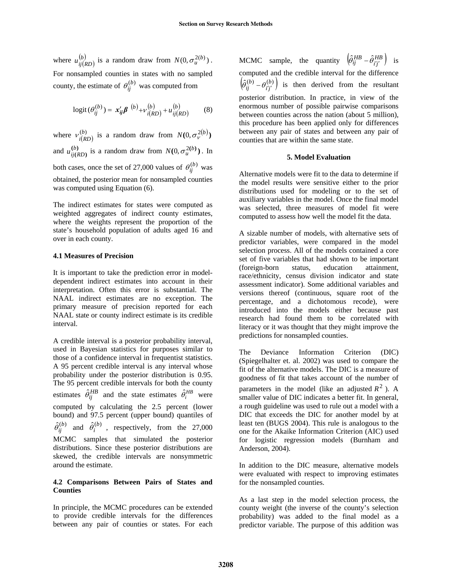where  $u_{ij(RD)}^{(b)}$  is a random draw from  $N(0, \sigma_u^{2(b)})$ . For nonsampled counties in states with no sampled county, the estimate of  $\theta_{ij}^{(b)}$  was computed from  $u_{ij(RD)}^{(b)}$  is a random draw from  $N(0, \sigma_u^{2(b)})$ 

$$
logit(\theta_{ij}^{(b)}) = x_{ij}'\pmb{\beta}^{(b)} + v_{i(RD)}^{(b)} + u_{ij(RD)}^{(b)}
$$
(8)

where  $v_{i(RD)}^{(b)}$  is a random draw from  $N(0, \sigma_v^{2(b)})$ and  $u_{ii(PD)}^{(b)}$  is a random draw from  $N(0, \sigma_u^{2(b)})$ . In both cases, once the set of 27,000 values of  $\theta_{ij}^{(b)}$  was obtained, the posterior mean for nonsampled counties was computed using Equation (6). **)(**  $u_{ij(RD)}^{(b)}$  is a random draw from  $N(0, \sigma_u^{2(b)})$ 

The indirect estimates for states were computed as weighted aggregates of indirect county estimates, where the weights represent the proportion of the state's household population of adults aged 16 and over in each county.

# **4.1 Measures of Precision**

It is important to take the prediction error in modeldependent indirect estimates into account in their interpretation. Often this error is substantial. The NAAL indirect estimates are no exception. The primary measure of precision reported for each NAAL state or county indirect estimate is its credible interval.

A credible interval is a posterior probability interval, used in Bayesian statistics for purposes similar to those of a confidence interval in [frequentist statistics](http://en.wikipedia.org/wiki/Frequentist_statistics). A 95 percent credible interval is any interval whose probability under the posterior distribution is 0.95. The 95 percent credible intervals for both the county estimates  $\hat{\theta}_{ij}^{HB}$  and the state estimates  $\hat{\theta}_{i}^{HB}$  were computed by calculating the 2.5 percent (lower bound) and 97.5 percent (upper bound) quantiles of  $\hat{\theta}_{ij}^{(b)}$  and  $\hat{\theta}_{i}^{(b)}$ , respectively, from the 27,000 MCMC samples that simulated the posterior distributions. Since these posterior distributions are skewed, the credible intervals are nonsymmetric around the estimate.

# **4.2 Comparisons Between Pairs of States and Counties**

In principle, the MCMC procedures can be extended to provide credible intervals for the differences between any pair of counties or states. For each

MCMC sample, the quantity  $\left( \hat{\theta}_{ij}^{HB} - \hat{\theta}_{i'j'}^{HB} \right)$  $\left(\hat{\theta}_{ij}^{HB} - \hat{\theta}_{i'j'}^{HB}\right)$  is computed and the credible interval for the difference  $\left( \! \hat{\theta}_{ij}^{(b)}-\theta_{i^{\prime}j^{\prime}}^{(b)}\right)$  $\left(\hat{\theta}_{ij}^{(b)} - \theta_{i'j'}^{(b)}\right)$  is then derived from the resultant posterior distribution. In practice, in view of the enormous number of possible pairwise comparisons between counties across the nation (about 5 million), this procedure has been applied only for differences between any pair of states and between any pair of counties that are within the same state.

# **5. Model Evaluation**

Alternative models were fit to the data to determine if the model results were sensitive either to the prior distributions used for modeling or to the set of auxiliary variables in the model. Once the final model was selected, three measures of model fit were computed to assess how well the model fit the data.

A sizable number of models, with alternative sets of predictor variables, were compared in the model selection process. All of the models contained a core set of five variables that had shown to be important (foreign-born status, education attainment, race/ethnicity, census division indicator and state assessment indicator). Some additional variables and versions thereof (continuous, square root of the percentage, and a dichotomous recode), were introduced into the models either because past research had found them to be correlated with literacy or it was thought that they might improve the predictions for nonsampled counties.

The Deviance Information Criterion (DIC) (Spiegelhalter et. al. 2002) was used to compare the fit of the alternative models. The DIC is a measure of goodness of fit that takes account of the number of parameters in the model (like an adjusted  $R^2$ ). A smaller value of DIC indicates a better fit. In general, a rough guideline was used to rule out a model with a DIC that exceeds the DIC for another model by at least ten (BUGS 2004). This rule is analogous to the one for the Akaike Information Criterion (AIC) used for logistic regression models (Burnham and Anderson, 2004).

In addition to the DIC measure, alternative models were evaluated with respect to improving estimates for the nonsampled counties.

As a last step in the model selection process, the county weight (the inverse of the county's selection probability) was added to the final model as a predictor variable. The purpose of this addition was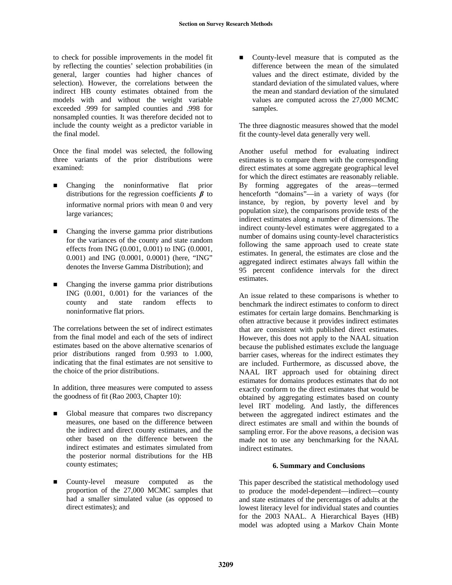to check for possible improvements in the model fit by reflecting the counties' selection probabilities (in general, larger counties had higher chances of selection). However, the correlations between the indirect HB county estimates obtained from the models with and without the weight variable exceeded .999 for sampled counties and .998 for nonsampled counties. It was therefore decided not to include the county weight as a predictor variable in the final model.

Once the final model was selected, the following three variants of the prior distributions were examined:

- Changing the noninformative flat prior distributions for the regression coefficients *β* to informative normal priors with mean 0 and very large variances;
- Changing the inverse gamma prior distributions for the variances of the county and state random effects from ING (0.001, 0.001) to ING (0.0001, 0.001) and ING (0.0001, 0.0001) (here, "ING" denotes the Inverse Gamma Distribution); and
- Changing the inverse gamma prior distributions ING (0.001, 0.001) for the variances of the county and state random effects to noninformative flat priors.

The correlations between the set of indirect estimates from the final model and each of the sets of indirect estimates based on the above alternative scenarios of prior distributions ranged from 0.993 to 1.000, indicating that the final estimates are not sensitive to the choice of the prior distributions.

In addition, three measures were computed to assess the goodness of fit (Rao 2003, Chapter 10):

- Global measure that compares two discrepancy measures, one based on the difference between the indirect and direct county estimates, and the other based on the difference between the indirect estimates and estimates simulated from the posterior normal distributions for the HB county estimates;
- County-level measure computed as the proportion of the 27,000 MCMC samples that had a smaller simulated value (as opposed to direct estimates); and

■ County-level measure that is computed as the difference between the mean of the simulated values and the direct estimate, divided by the standard deviation of the simulated values, where the mean and standard deviation of the simulated values are computed across the 27,000 MCMC samples.

The three diagnostic measures showed that the model fit the county-level data generally very well.

Another useful method for evaluating indirect estimates is to compare them with the corresponding direct estimates at some aggregate geographical level for which the direct estimates are reasonably reliable. By forming aggregates of the areas—termed henceforth "domains"—in a variety of ways (for instance, by region, by poverty level and by population size), the comparisons provide tests of the indirect estimates along a number of dimensions. The indirect county-level estimates were aggregated to a number of domains using county-level characteristics following the same approach used to create state estimates. In general, the estimates are close and the aggregated indirect estimates always fall within the 95 percent confidence intervals for the direct estimates.

An issue related to these comparisons is whether to benchmark the indirect estimates to conform to direct estimates for certain large domains. Benchmarking is often attractive because it provides indirect estimates that are consistent with published direct estimates. However, this does not apply to the NAAL situation because the published estimates exclude the language barrier cases, whereas for the indirect estimates they are included. Furthermore, as discussed above, the NAAL IRT approach used for obtaining direct estimates for domains produces estimates that do not exactly conform to the direct estimates that would be obtained by aggregating estimates based on county level IRT modeling. And lastly, the differences between the aggregated indirect estimates and the direct estimates are small and within the bounds of sampling error. For the above reasons, a decision was made not to use any benchmarking for the NAAL indirect estimates.

# **6. Summary and Conclusions**

This paper described the statistical methodology used to produce the model-dependent—indirect—county and state estimates of the percentages of adults at the lowest literacy level for individual states and counties for the 2003 NAAL. A Hierarchical Bayes (HB) model was adopted using a Markov Chain Monte